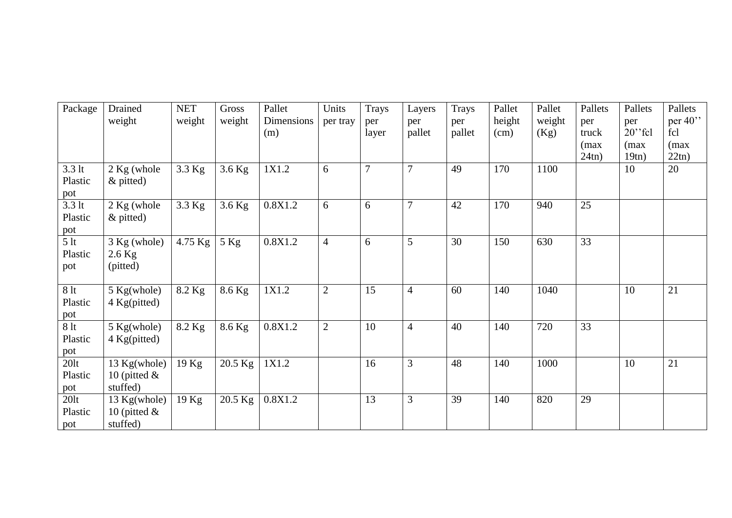| Package                             | Drained<br>weight                           | <b>NET</b><br>weight | Gross<br>weight | Pallet<br>Dimensions<br>(m) | Units<br>per tray | Trays<br>per<br>layer | Layers<br>per<br>pallet | Trays<br>per<br>pallet | Pallet<br>height<br>(cm) | Pallet<br>weight<br>(Kg) | Pallets<br>per<br>truck<br>(max | Pallets<br>per<br>$20$ "fcl<br>(max | Pallets<br>per $40$ "<br>fcl<br>(max |
|-------------------------------------|---------------------------------------------|----------------------|-----------------|-----------------------------|-------------------|-----------------------|-------------------------|------------------------|--------------------------|--------------------------|---------------------------------|-------------------------------------|--------------------------------------|
|                                     |                                             |                      |                 |                             |                   |                       |                         |                        |                          |                          | 24tn)                           | 19tn)                               | 22tn)                                |
| $3.3$ lt<br>Plastic<br>pot          | 2 Kg (whole<br>$\&$ pitted)                 | 3.3 Kg               | $3.6$ Kg        | 1X1.2                       | 6                 | $\overline{7}$        | 7                       | 49                     | 170                      | 1100                     |                                 | 10                                  | 20                                   |
| $3.3$ lt<br>Plastic<br>pot          | 2 Kg (whole<br>$\&$ pitted)                 | 3.3 Kg               | 3.6 Kg          | 0.8X1.2                     | 6                 | 6                     | 7                       | 42                     | 170                      | 940                      | 25                              |                                     |                                      |
| $\overline{5}$ lt<br>Plastic<br>pot | $3$ Kg (whole)<br>$2.6$ Kg<br>(pitted)      | 4.75 Kg              | $5$ Kg          | 0.8X1.2                     | $\overline{4}$    | 6                     | 5                       | 30                     | 150                      | 630                      | 33                              |                                     |                                      |
| 8 lt<br>Plastic<br>pot              | $5$ Kg(whole)<br>4 Kg(pitted)               | 8.2 Kg               | 8.6 Kg          | 1X1.2                       | $\overline{2}$    | 15                    | 4                       | 60                     | 140                      | 1040                     |                                 | 10                                  | 21                                   |
| 8 <sup>1</sup><br>Plastic<br>pot    | $5$ Kg(whole)<br>4 Kg(pitted)               | 8.2 Kg               | 8.6 Kg          | 0.8X1.2                     | $\overline{2}$    | 10                    | 4                       | 40                     | 140                      | 720                      | 33                              |                                     |                                      |
| $20$ lt<br>Plastic<br>pot           | 13 Kg(whole)<br>10 (pitted $\&$<br>stuffed) | 19 Kg                | 20.5 Kg         | 1X1.2                       |                   | 16                    | 3                       | 48                     | 140                      | 1000                     |                                 | 10                                  | 21                                   |
| $20$ lt<br>Plastic<br>pot           | 13 Kg(whole)<br>10 (pitted $\&$<br>stuffed) | 19 Kg                | 20.5 Kg         | 0.8X1.2                     |                   | 13                    | 3                       | 39                     | 140                      | 820                      | 29                              |                                     |                                      |